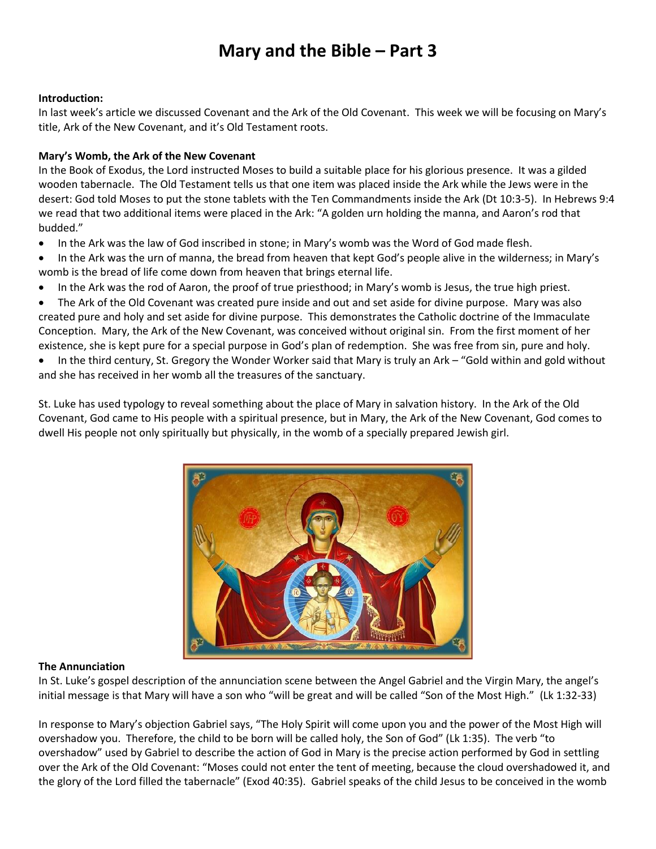## **Mary and the Bible – Part 3**

#### **Introduction:**

In last week's article we discussed Covenant and the Ark of the Old Covenant. This week we will be focusing on Mary's title, Ark of the New Covenant, and it's Old Testament roots.

### **Mary's Womb, the Ark of the New Covenant**

In the Book of Exodus, the Lord instructed Moses to build a suitable place for his glorious presence. It was a gilded wooden tabernacle. The Old Testament tells us that one item was placed inside the Ark while the Jews were in the desert: God told Moses to put the stone tablets with the Ten Commandments inside the Ark (Dt 10:3-5). In Hebrews 9:4 we read that two additional items were placed in the Ark: "A golden urn holding the manna, and Aaron's rod that budded."

- In the Ark was the law of God inscribed in stone; in Mary's womb was the Word of God made flesh.
- In the Ark was the urn of manna, the bread from heaven that kept God's people alive in the wilderness; in Mary's womb is the bread of life come down from heaven that brings eternal life.
- In the Ark was the rod of Aaron, the proof of true priesthood; in Mary's womb is Jesus, the true high priest.

• The Ark of the Old Covenant was created pure inside and out and set aside for divine purpose. Mary was also created pure and holy and set aside for divine purpose. This demonstrates the Catholic doctrine of the Immaculate Conception. Mary, the Ark of the New Covenant, was conceived without original sin. From the first moment of her existence, she is kept pure for a special purpose in God's plan of redemption. She was free from sin, pure and holy.

• In the third century, St. Gregory the Wonder Worker said that Mary is truly an Ark – "Gold within and gold without and she has received in her womb all the treasures of the sanctuary.

St. Luke has used typology to reveal something about the place of Mary in salvation history. In the Ark of the Old Covenant, God came to His people with a spiritual presence, but in Mary, the Ark of the New Covenant, God comes to dwell His people not only spiritually but physically, in the womb of a specially prepared Jewish girl.



#### **The Annunciation**

In St. Luke's gospel description of the annunciation scene between the Angel Gabriel and the Virgin Mary, the angel's initial message is that Mary will have a son who "will be great and will be called "Son of the Most High." (Lk 1:32-33)

In response to Mary's objection Gabriel says, "The Holy Spirit will come upon you and the power of the Most High will overshadow you. Therefore, the child to be born will be called holy, the Son of God" (Lk 1:35). The verb "to overshadow" used by Gabriel to describe the action of God in Mary is the precise action performed by God in settling over the Ark of the Old Covenant: "Moses could not enter the tent of meeting, because the cloud overshadowed it, and the glory of the Lord filled the tabernacle" (Exod 40:35). Gabriel speaks of the child Jesus to be conceived in the womb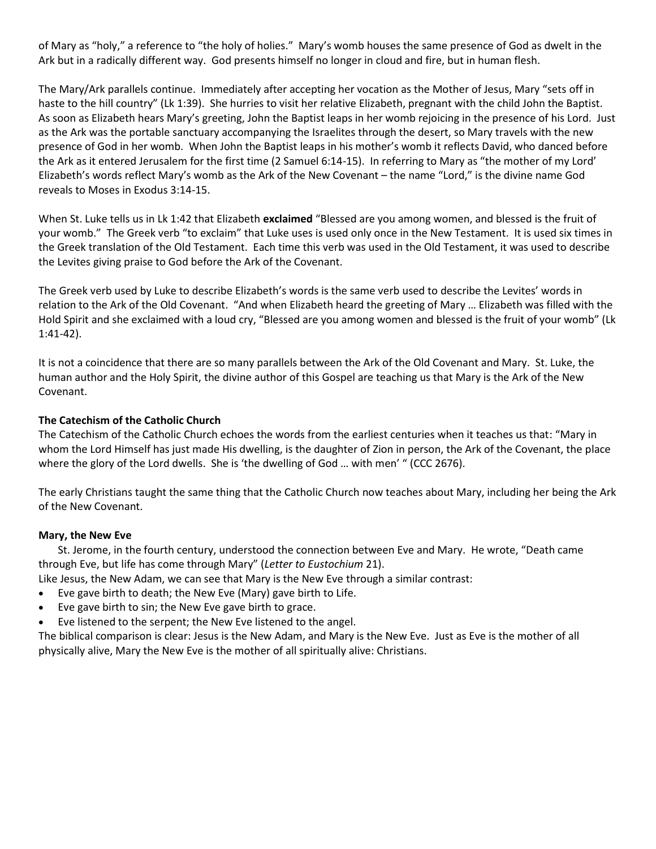of Mary as "holy," a reference to "the holy of holies." Mary's womb houses the same presence of God as dwelt in the Ark but in a radically different way. God presents himself no longer in cloud and fire, but in human flesh.

The Mary/Ark parallels continue. Immediately after accepting her vocation as the Mother of Jesus, Mary "sets off in haste to the hill country" (Lk 1:39). She hurries to visit her relative Elizabeth, pregnant with the child John the Baptist. As soon as Elizabeth hears Mary's greeting, John the Baptist leaps in her womb rejoicing in the presence of his Lord. Just as the Ark was the portable sanctuary accompanying the Israelites through the desert, so Mary travels with the new presence of God in her womb. When John the Baptist leaps in his mother's womb it reflects David, who danced before the Ark as it entered Jerusalem for the first time (2 Samuel 6:14-15). In referring to Mary as "the mother of my Lord' Elizabeth's words reflect Mary's womb as the Ark of the New Covenant – the name "Lord," is the divine name God reveals to Moses in Exodus 3:14-15.

When St. Luke tells us in Lk 1:42 that Elizabeth **exclaimed** "Blessed are you among women, and blessed is the fruit of your womb." The Greek verb "to exclaim" that Luke uses is used only once in the New Testament. It is used six times in the Greek translation of the Old Testament. Each time this verb was used in the Old Testament, it was used to describe the Levites giving praise to God before the Ark of the Covenant.

The Greek verb used by Luke to describe Elizabeth's words is the same verb used to describe the Levites' words in relation to the Ark of the Old Covenant. "And when Elizabeth heard the greeting of Mary … Elizabeth was filled with the Hold Spirit and she exclaimed with a loud cry, "Blessed are you among women and blessed is the fruit of your womb" (Lk 1:41-42).

It is not a coincidence that there are so many parallels between the Ark of the Old Covenant and Mary. St. Luke, the human author and the Holy Spirit, the divine author of this Gospel are teaching us that Mary is the Ark of the New Covenant.

### **The Catechism of the Catholic Church**

The Catechism of the Catholic Church echoes the words from the earliest centuries when it teaches us that: "Mary in whom the Lord Himself has just made His dwelling, is the daughter of Zion in person, the Ark of the Covenant, the place where the glory of the Lord dwells. She is 'the dwelling of God … with men' " (CCC 2676).

The early Christians taught the same thing that the Catholic Church now teaches about Mary, including her being the Ark of the New Covenant.

#### **Mary, the New Eve**

St. Jerome, in the fourth century, understood the connection between Eve and Mary. He wrote, "Death came through Eve, but life has come through Mary" (*Letter to Eustochium* 21).

Like Jesus, the New Adam, we can see that Mary is the New Eve through a similar contrast:

- Eve gave birth to death; the New Eve (Mary) gave birth to Life.
- Eve gave birth to sin; the New Eve gave birth to grace.
- Eve listened to the serpent; the New Eve listened to the angel.

The biblical comparison is clear: Jesus is the New Adam, and Mary is the New Eve. Just as Eve is the mother of all physically alive, Mary the New Eve is the mother of all spiritually alive: Christians.